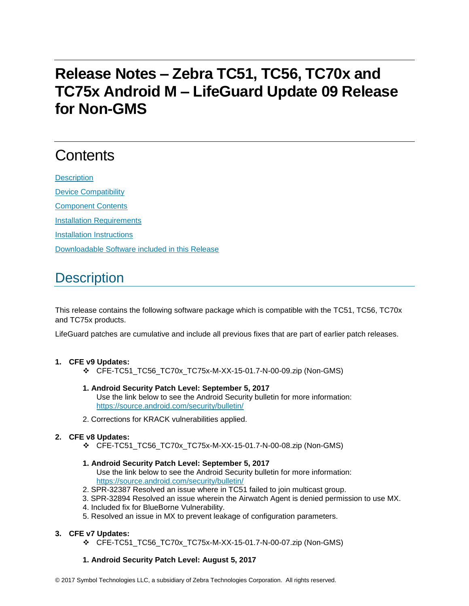# **Release Notes – Zebra TC51, TC56, TC70x and TC75x Android M – LifeGuard Update 09 Release for Non-GMS**

# **Contents**

**[Description](#page-0-0)** [Device Compatibility](#page-1-0) [Component Contents](#page-2-0) [Installation Requirements](#page-2-1) [Installation Instructions](#page-2-2) [Downloadable Software included in this Release](#page-4-0)

# <span id="page-0-0"></span>**Description**

This release contains the following software package which is compatible with the TC51, TC56, TC70x and TC75x products.

LifeGuard patches are cumulative and include all previous fixes that are part of earlier patch releases.

#### **1. CFE v9 Updates:**

- ❖ CFE-TC51\_TC56\_TC70x\_TC75x-M-XX-15-01.7-N-00-09.zip (Non-GMS)
- **1. Android Security Patch Level: September 5, 2017** Use the link below to see the Android Security bulletin for more information: <https://source.android.com/security/bulletin/>
- 2. Corrections for KRACK vulnerabilities applied.

#### **2. CFE v8 Updates:**

- ❖ CFE-TC51\_TC56\_TC70x\_TC75x-M-XX-15-01.7-N-00-08.zip (Non-GMS)
- **1. Android Security Patch Level: September 5, 2017** Use the link below to see the Android Security bulletin for more information: <https://source.android.com/security/bulletin/>
- 2. SPR-32387 Resolved an issue where in TC51 failed to join multicast group.
- 3. SPR-32894 Resolved an issue wherein the Airwatch Agent is denied permission to use MX.
- 4. Included fix for BlueBorne Vulnerability.
- 5. Resolved an issue in MX to prevent leakage of configuration parameters.

#### **3. CFE v7 Updates:**

❖ CFE-TC51\_TC56\_TC70x\_TC75x-M-XX-15-01.7-N-00-07.zip (Non-GMS)

#### **1. Android Security Patch Level: August 5, 2017**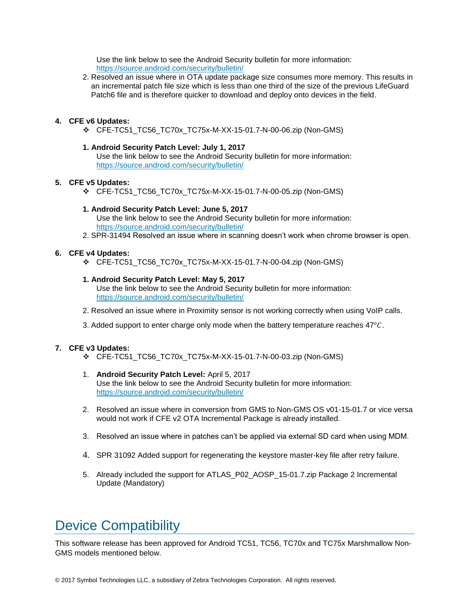Use the link below to see the Android Security bulletin for more information: <https://source.android.com/security/bulletin/>

2. Resolved an issue where in OTA update package size consumes more memory. This results in an incremental patch file size which is less than one third of the size of the previous LifeGuard Patch6 file and is therefore quicker to download and deploy onto devices in the field.

#### **4. CFE v6 Updates:**

❖ CFE-TC51\_TC56\_TC70x\_TC75x-M-XX-15-01.7-N-00-06.zip (Non-GMS)

#### **1. Android Security Patch Level: July 1, 2017**

Use the link below to see the Android Security bulletin for more information: <https://source.android.com/security/bulletin/>

#### **5. CFE v5 Updates:**

❖ CFE-TC51\_TC56\_TC70x\_TC75x-M-XX-15-01.7-N-00-05.zip (Non-GMS)

#### **1. Android Security Patch Level: June 5, 2017**

Use the link below to see the Android Security bulletin for more information: <https://source.android.com/security/bulletin/>

2. SPR-31494 Resolved an issue where in scanning doesn't work when chrome browser is open.

#### **6. CFE v4 Updates:**

❖ CFE-TC51\_TC56\_TC70x\_TC75x-M-XX-15-01.7-N-00-04.zip (Non-GMS)

#### **1. Android Security Patch Level: May 5, 2017**

Use the link below to see the Android Security bulletin for more information: <https://source.android.com/security/bulletin/>

- 2. Resolved an issue where in Proximity sensor is not working correctly when using VoIP calls.
- 3. Added support to enter charge only mode when the battery temperature reaches  $47^{\circ}$ C.

#### **7. CFE v3 Updates:**

- ❖ CFE-TC51\_TC56\_TC70x\_TC75x-M-XX-15-01.7-N-00-03.zip (Non-GMS)
- 1. **Android Security Patch Level:** April 5, 2017 Use the link below to see the Android Security bulletin for more information: <https://source.android.com/security/bulletin/>
- 2. Resolved an issue where in conversion from GMS to Non-GMS OS v01-15-01.7 or vice versa would not work if CFE v2 OTA Incremental Package is already installed.
- 3. Resolved an issue where in patches can't be applied via external SD card when using MDM.
- 4. SPR 31092 Added support for regenerating the keystore master-key file after retry failure.
- 5. Already included the support for ATLAS P02 AOSP 15-01.7.zip Package 2 Incremental Update (Mandatory)

### <span id="page-1-0"></span>Device Compatibility

This software release has been approved for Android TC51, TC56, TC70x and TC75x Marshmallow Non-GMS models mentioned below.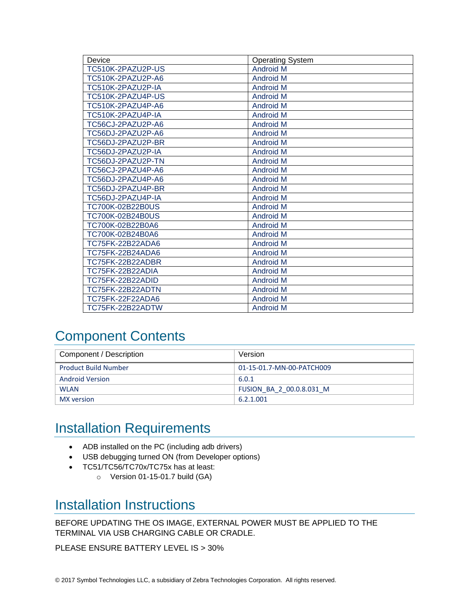| Device            | <b>Operating System</b> |
|-------------------|-------------------------|
| TC510K-2PAZU2P-US | <b>Android M</b>        |
| TC510K-2PAZU2P-A6 | <b>Android M</b>        |
| TC510K-2PAZU2P-IA | <b>Android M</b>        |
| TC510K-2PAZU4P-US | <b>Android M</b>        |
| TC510K-2PAZU4P-A6 | <b>Android M</b>        |
| TC510K-2PAZU4P-IA | <b>Android M</b>        |
| TC56CJ-2PAZU2P-A6 | <b>Android M</b>        |
| TC56DJ-2PAZU2P-A6 | <b>Android M</b>        |
| TC56DJ-2PAZU2P-BR | <b>Android M</b>        |
| TC56DJ-2PAZU2P-IA | <b>Android M</b>        |
| TC56DJ-2PAZU2P-TN | <b>Android M</b>        |
| TC56CJ-2PAZU4P-A6 | <b>Android M</b>        |
| TC56DJ-2PAZU4P-A6 | <b>Android M</b>        |
| TC56DJ-2PAZU4P-BR | <b>Android M</b>        |
| TC56DJ-2PAZU4P-IA | <b>Android M</b>        |
| TC700K-02B22B0US  | <b>Android M</b>        |
| TC700K-02B24B0US  | <b>Android M</b>        |
| TC700K-02B22B0A6  | <b>Android M</b>        |
| TC700K-02B24B0A6  | <b>Android M</b>        |
| TC75FK-22B22ADA6  | <b>Android M</b>        |
| TC75FK-22B24ADA6  | <b>Android M</b>        |
| TC75FK-22B22ADBR  | <b>Android M</b>        |
| TC75FK-22B22ADIA  | <b>Android M</b>        |
| TC75FK-22B22ADID  | <b>Android M</b>        |
| TC75FK-22B22ADTN  | <b>Android M</b>        |
| TC75FK-22F22ADA6  | <b>Android M</b>        |
| TC75FK-22B22ADTW  | <b>Android M</b>        |

# <span id="page-2-0"></span>Component Contents

| Component / Description     | Version                   |
|-----------------------------|---------------------------|
| <b>Product Build Number</b> | 01-15-01.7-MN-00-PATCH009 |
| <b>Android Version</b>      | 6.0.1                     |
| <b>WLAN</b>                 | FUSION BA 2 00.0.8.031 M  |
| MX version                  | 6.2.1.001                 |

## <span id="page-2-1"></span>Installation Requirements

- ADB installed on the PC (including adb drivers)
- USB debugging turned ON (from Developer options)
- TC51/TC56/TC70x/TC75x has at least:
	- o Version 01-15-01.7 build (GA)

### <span id="page-2-2"></span>Installation Instructions

BEFORE UPDATING THE OS IMAGE, EXTERNAL POWER MUST BE APPLIED TO THE TERMINAL VIA USB CHARGING CABLE OR CRADLE.

PLEASE ENSURE BATTERY LEVEL IS > 30%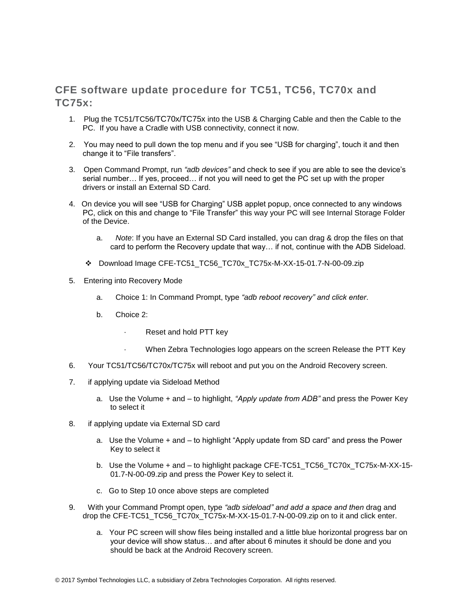### CFE software update procedure for TC51, TC56, TC70x and TC75x:

- 1. Plug the TC51/TC56/TC70x/TC75x into the USB & Charging Cable and then the Cable to the PC. If you have a Cradle with USB connectivity, connect it now.
- 2. You may need to pull down the top menu and if you see "USB for charging", touch it and then change it to "File transfers".
- 3. Open Command Prompt, run *"adb devices"* and check to see if you are able to see the device's serial number… If yes, proceed… if not you will need to get the PC set up with the proper drivers or install an External SD Card.
- 4. On device you will see "USB for Charging" USB applet popup, once connected to any windows PC, click on this and change to "File Transfer" this way your PC will see Internal Storage Folder of the Device.
	- a. *Note*: If you have an External SD Card installed, you can drag & drop the files on that card to perform the Recovery update that way… if not, continue with the ADB Sideload.
	- ❖ Download Image CFE-TC51\_TC56\_TC70x\_TC75x-M-XX-15-01.7-N-00-09.zip
- 5. Entering into Recovery Mode
	- a. Choice 1: In Command Prompt, type *"adb reboot recovery" and click enter*.
	- b. Choice 2:
		- Reset and hold PTT key
		- When Zebra Technologies logo appears on the screen Release the PTT Key
- 6. Your TC51/TC56/TC70x/TC75x will reboot and put you on the Android Recovery screen.
- 7. if applying update via Sideload Method
	- a. Use the Volume + and to highlight, *"Apply update from ADB"* and press the Power Key to select it
- 8. if applying update via External SD card
	- a. Use the Volume + and to highlight "Apply update from SD card" and press the Power Key to select it
	- b. Use the Volume + and to highlight package CFE-TC51\_TC56\_TC70x\_TC75x-M-XX-15-01.7-N-00-09.zip and press the Power Key to select it.
	- c. Go to Step 10 once above steps are completed
- 9. With your Command Prompt open, type *"adb sideload" and add a space and then* drag and drop the CFE-TC51\_TC56\_TC70x\_TC75x-M-XX-15-01.7-N-00-09.zip on to it and click enter.
	- a. Your PC screen will show files being installed and a little blue horizontal progress bar on your device will show status… and after about 6 minutes it should be done and you should be back at the Android Recovery screen.